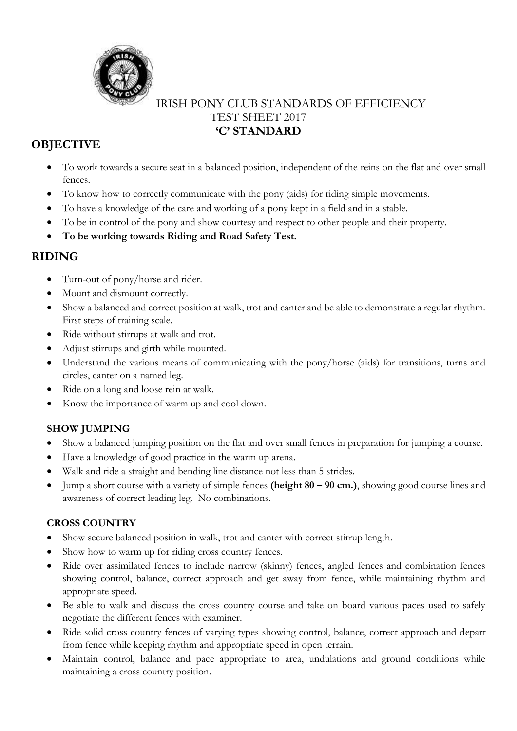

### IRISH PONY CLUB STANDARDS OF EFFICIENCY TEST SHEET 2017 **'C' STANDARD**

# **OBJECTIVE**

- To work towards a secure seat in a balanced position, independent of the reins on the flat and over small fences.
- To know how to correctly communicate with the pony (aids) for riding simple movements.
- To have a knowledge of the care and working of a pony kept in a field and in a stable.
- To be in control of the pony and show courtesy and respect to other people and their property.
- **To be working towards Riding and Road Safety Test.**

## **RIDING**

- Turn-out of pony/horse and rider.
- Mount and dismount correctly.
- Show a balanced and correct position at walk, trot and canter and be able to demonstrate a regular rhythm. First steps of training scale.
- Ride without stirrups at walk and trot.
- Adjust stirrups and girth while mounted.
- Understand the various means of communicating with the pony/horse (aids) for transitions, turns and circles, canter on a named leg.
- Ride on a long and loose rein at walk.
- Know the importance of warm up and cool down.

#### **SHOW JUMPING**

- Show a balanced jumping position on the flat and over small fences in preparation for jumping a course.
- Have a knowledge of good practice in the warm up arena.
- Walk and ride a straight and bending line distance not less than 5 strides.
- Jump a short course with a variety of simple fences **(height 80 – 90 cm.)**, showing good course lines and awareness of correct leading leg. No combinations.

#### **CROSS COUNTRY**

- Show secure balanced position in walk, trot and canter with correct stirrup length.
- Show how to warm up for riding cross country fences.
- Ride over assimilated fences to include narrow (skinny) fences, angled fences and combination fences showing control, balance, correct approach and get away from fence, while maintaining rhythm and appropriate speed.
- Be able to walk and discuss the cross country course and take on board various paces used to safely negotiate the different fences with examiner.
- Ride solid cross country fences of varying types showing control, balance, correct approach and depart from fence while keeping rhythm and appropriate speed in open terrain.
- Maintain control, balance and pace appropriate to area, undulations and ground conditions while maintaining a cross country position.